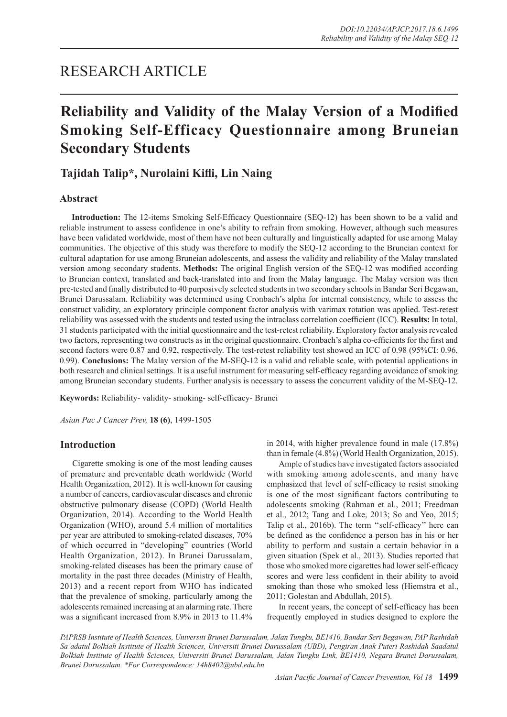## RESEARCH ARTICLE

# **Reliability and Validity of the Malay Version of a Modified Smoking Self-Efficacy Questionnaire among Bruneian Secondary Students**

## **Tajidah Talip\*, Nurolaini Kifli, Lin Naing**

## **Abstract**

**Introduction:** The 12-items Smoking Self-Efficacy Questionnaire (SEQ-12) has been shown to be a valid and reliable instrument to assess confidence in one's ability to refrain from smoking. However, although such measures have been validated worldwide, most of them have not been culturally and linguistically adapted for use among Malay communities. The objective of this study was therefore to modify the SEQ-12 according to the Bruneian context for cultural adaptation for use among Bruneian adolescents, and assess the validity and reliability of the Malay translated version among secondary students. **Methods:** The original English version of the SEQ-12 was modified according to Bruneian context, translated and back-translated into and from the Malay language. The Malay version was then pre-tested and finally distributed to 40 purposively selected students in two secondary schools in Bandar Seri Begawan, Brunei Darussalam. Reliability was determined using Cronbach's alpha for internal consistency, while to assess the construct validity, an exploratory principle component factor analysis with varimax rotation was applied. Test-retest reliability was assessed with the students and tested using the intraclass correlation coefficient (ICC). **Results:** In total, 31 students participated with the initial questionnaire and the test-retest reliability. Exploratory factor analysis revealed two factors, representing two constructs as in the original questionnaire. Cronbach's alpha co-efficients for the first and second factors were 0.87 and 0.92, respectively. The test-retest reliability test showed an ICC of 0.98 (95%CI: 0.96, 0.99). **Conclusions:** The Malay version of the M-SEQ-12 is a valid and reliable scale, with potential applications in both research and clinical settings. It is a useful instrument for measuring self-efficacy regarding avoidance of smoking among Bruneian secondary students. Further analysis is necessary to assess the concurrent validity of the M-SEQ-12.

**Keywords:** Reliability- validity- smoking- self-efficacy- Brunei

*Asian Pac J Cancer Prev,* **18 (6)**, 1499-1505

### **Introduction**

Cigarette smoking is one of the most leading causes of premature and preventable death worldwide (World Health Organization, 2012). It is well-known for causing a number of cancers, cardiovascular diseases and chronic obstructive pulmonary disease (COPD) (World Health Organization, 2014). According to the World Health Organization (WHO), around 5.4 million of mortalities per year are attributed to smoking-related diseases, 70% of which occurred in "developing" countries (World Health Organization, 2012). In Brunei Darussalam, smoking-related diseases has been the primary cause of mortality in the past three decades (Ministry of Health, 2013) and a recent report from WHO has indicated that the prevalence of smoking, particularly among the adolescents remained increasing at an alarming rate. There was a significant increased from 8.9% in 2013 to 11.4% in 2014, with higher prevalence found in male (17.8%) than in female (4.8%) (World Health Organization, 2015).

Ample of studies have investigated factors associated with smoking among adolescents, and many have emphasized that level of self-efficacy to resist smoking is one of the most significant factors contributing to adolescents smoking (Rahman et al., 2011; Freedman et al., 2012; Tang and Loke, 2013; So and Yeo, 2015; Talip et al., 2016b). The term ''self-efficacy'' here can be defined as the confidence a person has in his or her ability to perform and sustain a certain behavior in a given situation (Spek et al., 2013). Studies reported that those who smoked more cigarettes had lower self-efficacy scores and were less confident in their ability to avoid smoking than those who smoked less (Hiemstra et al., 2011; Golestan and Abdullah, 2015).

In recent years, the concept of self-efficacy has been frequently employed in studies designed to explore the

*PAPRSB Institute of Health Sciences, Universiti Brunei Darussalam, Jalan Tungku, BE1410, Bandar Seri Begawan, PAP Rashidah Sa'adatul Bolkiah Institute of Health Sciences, Universiti Brunei Darussalam (UBD), Pengiran Anak Puteri Rashidah Saadatul Bolkiah Institute of Health Sciences, Universiti Brunei Darussalam, Jalan Tungku Link, BE1410, Negara Brunei Darussalam, Brunei Darussalam. \*For Correspondence: 14h8402@ubd.edu.bn*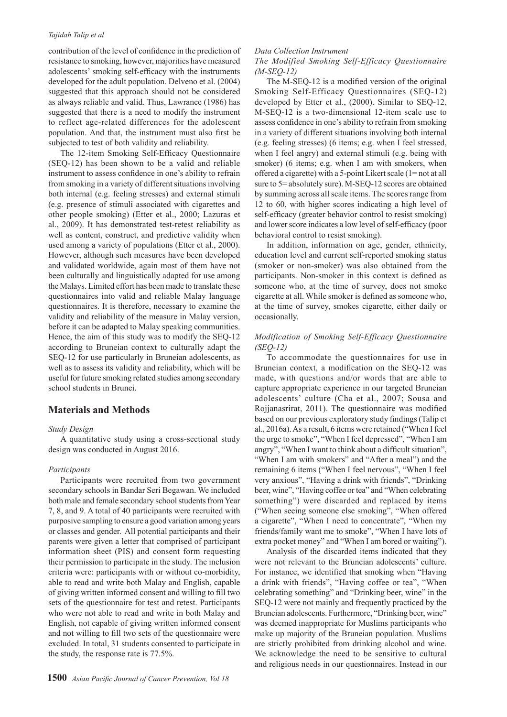#### *Tajidah Talip et al*

contribution of the level of confidence in the prediction of resistance to smoking, however, majorities have measured adolescents' smoking self-efficacy with the instruments developed for the adult population. Delveno et al. (2004) suggested that this approach should not be considered as always reliable and valid. Thus, Lawrance (1986) has suggested that there is a need to modify the instrument to reflect age-related differences for the adolescent population. And that, the instrument must also first be subjected to test of both validity and reliability.

The 12-item Smoking Self-Efficacy Questionnaire (SEQ-12) has been shown to be a valid and reliable instrument to assess confidence in one's ability to refrain from smoking in a variety of different situations involving both internal (e.g. feeling stresses) and external stimuli (e.g. presence of stimuli associated with cigarettes and other people smoking) (Etter et al., 2000; Lazuras et al., 2009). It has demonstrated test-retest reliability as well as content, construct, and predictive validity when used among a variety of populations (Etter et al., 2000). However, although such measures have been developed and validated worldwide, again most of them have not been culturally and linguistically adapted for use among the Malays. Limited effort has been made to translate these questionnaires into valid and reliable Malay language questionnaires. It is therefore, necessary to examine the validity and reliability of the measure in Malay version, before it can be adapted to Malay speaking communities. Hence, the aim of this study was to modify the SEQ-12 according to Bruneian context to culturally adapt the SEQ-12 for use particularly in Bruneian adolescents, as well as to assess its validity and reliability, which will be useful for future smoking related studies among secondary school students in Brunei.

## **Materials and Methods**

#### *Study Design*

A quantitative study using a cross-sectional study design was conducted in August 2016.

#### *Participants*

Participants were recruited from two government secondary schools in Bandar Seri Begawan. We included both male and female secondary school students from Year 7, 8, and 9. A total of 40 participants were recruited with purposive sampling to ensure a good variation among years or classes and gender. All potential participants and their parents were given a letter that comprised of participant information sheet (PIS) and consent form requesting their permission to participate in the study. The inclusion criteria were: participants with or without co-morbidity, able to read and write both Malay and English, capable of giving written informed consent and willing to fill two sets of the questionnaire for test and retest. Participants who were not able to read and write in both Malay and English, not capable of giving written informed consent and not willing to fill two sets of the questionnaire were excluded. In total, 31 students consented to participate in the study, the response rate is 77.5%.

#### *Data Collection Instrument*

#### *The Modified Smoking Self-Efficacy Questionnaire (M-SEQ-12)*

The M-SEQ-12 is a modified version of the original Smoking Self-Efficacy Questionnaires (SEQ-12) developed by Etter et al., (2000). Similar to SEQ-12, M-SEQ-12 is a two-dimensional 12-item scale use to assess confidence in one's ability to refrain from smoking in a variety of different situations involving both internal (e.g. feeling stresses) (6 items; e.g. when I feel stressed, when I feel angry) and external stimuli (e.g. being with smoker) (6 items; e.g. when I am with smokers, when offered a cigarette) with a 5-point Likert scale (1= not at all sure to 5= absolutely sure). M-SEQ-12 scores are obtained by summing across all scale items. The scores range from 12 to 60, with higher scores indicating a high level of self-efficacy (greater behavior control to resist smoking) and lower score indicates a low level of self-efficacy (poor behavioral control to resist smoking).

In addition, information on age, gender, ethnicity, education level and current self-reported smoking status (smoker or non-smoker) was also obtained from the participants. Non-smoker in this context is defined as someone who, at the time of survey, does not smoke cigarette at all. While smoker is defined as someone who, at the time of survey, smokes cigarette, either daily or occasionally.

## *Modification of Smoking Self-Efficacy Questionnaire (SEQ-12)*

To accommodate the questionnaires for use in Bruneian context, a modification on the SEQ-12 was made, with questions and/or words that are able to capture appropriate experience in our targeted Bruneian adolescents' culture (Cha et al., 2007; Sousa and Rojjanasrirat, 2011). The questionnaire was modified based on our previous exploratory study findings (Talip et al., 2016a). As a result, 6 items were retained ("When I feel the urge to smoke", "When I feel depressed", "When I am angry", "When I want to think about a difficult situation", "When I am with smokers" and "After a meal") and the remaining 6 items ("When I feel nervous", "When I feel very anxious", "Having a drink with friends", "Drinking beer, wine", "Having coffee or tea" and "When celebrating something") were discarded and replaced by items ("When seeing someone else smoking", "When offered a cigarette", "When I need to concentrate", "When my friends/family want me to smoke", "When I have lots of extra pocket money" and "When I am bored or waiting").

Analysis of the discarded items indicated that they were not relevant to the Bruneian adolescents' culture. For instance, we identified that smoking when "Having a drink with friends", "Having coffee or tea", "When celebrating something" and "Drinking beer, wine" in the SEQ-12 were not mainly and frequently practiced by the Bruneian adolescents. Furthermore, "Drinking beer, wine" was deemed inappropriate for Muslims participants who make up majority of the Bruneian population. Muslims are strictly prohibited from drinking alcohol and wine. We acknowledge the need to be sensitive to cultural and religious needs in our questionnaires. Instead in our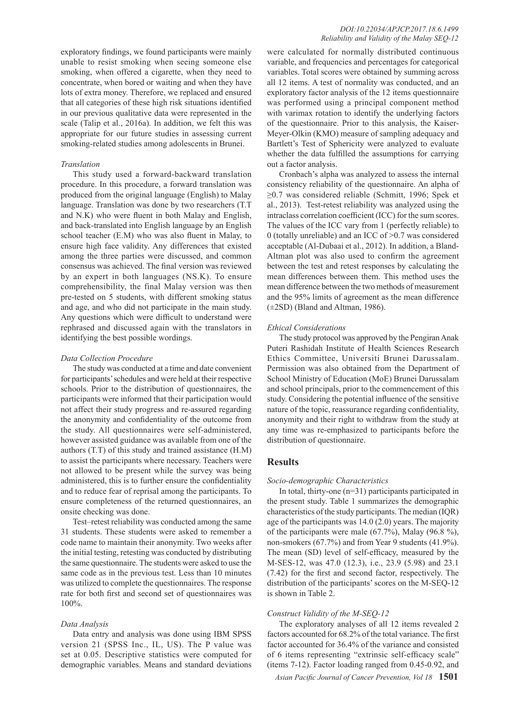exploratory findings, we found participants were mainly unable to resist smoking when seeing someone else smoking, when offered a cigarette, when they need to concentrate, when bored or waiting and when they have lots of extra money. Therefore, we replaced and ensured that all categories of these high risk situations identified in our previous qualitative data were represented in the scale (Talip et al., 2016a). In addition, we felt this was appropriate for our future studies in assessing current smoking-related studies among adolescents in Brunei.

#### *Translation*

This study used a forward-backward translation procedure. In this procedure, a forward translation was produced from the original language (English) to Malay language. Translation was done by two researchers (T.T and N.K) who were fluent in both Malay and English, and back-translated into English language by an English school teacher (E.M) who was also fluent in Malay, to ensure high face validity. Any differences that existed among the three parties were discussed, and common consensus was achieved. The final version was reviewed by an expert in both languages (NS.K). To ensure comprehensibility, the final Malay version was then pre-tested on 5 students, with different smoking status and age, and who did not participate in the main study. Any questions which were difficult to understand were rephrased and discussed again with the translators in identifying the best possible wordings.

#### *Data Collection Procedure*

The study was conducted at a time and date convenient for participants' schedules and were held at their respective schools. Prior to the distribution of questionnaires, the participants were informed that their participation would not affect their study progress and re-assured regarding the anonymity and confidentiality of the outcome from the study. All questionnaires were self-administered, however assisted guidance was available from one of the authors (T.T) of this study and trained assistance (H.M) to assist the participants where necessary. Teachers were not allowed to be present while the survey was being administered, this is to further ensure the confidentiality and to reduce fear of reprisal among the participants. To ensure completeness of the returned questionnaires, an onsite checking was done.

Test–retest reliability was conducted among the same 31 students. These students were asked to remember a code name to maintain their anonymity. Two weeks after the initial testing, retesting was conducted by distributing the same questionnaire. The students were asked to use the same code as in the previous test. Less than 10 minutes was utilized to complete the questionnaires. The response rate for both first and second set of questionnaires was 100%.

#### *Data Analysis*

Data entry and analysis was done using IBM SPSS version 21 (SPSS Inc., IL, US). The P value was set at 0.05. Descriptive statistics were computed for demographic variables. Means and standard deviations were calculated for normally distributed continuous variable, and frequencies and percentages for categorical variables. Total scores were obtained by summing across all 12 items. A test of normality was conducted, and an exploratory factor analysis of the 12 items questionnaire was performed using a principal component method with varimax rotation to identify the underlying factors of the questionnaire. Prior to this analysis, the Kaiser-Meyer-Olkin (KMO) measure of sampling adequacy and Bartlett's Test of Sphericity were analyzed to evaluate whether the data fulfilled the assumptions for carrying out a factor analysis.

Cronbach's alpha was analyzed to assess the internal consistency reliability of the questionnaire. An alpha of ≥0.7 was considered reliable (Schmitt, 1996; Spek et al., 2013). Test-retest reliability was analyzed using the intraclass correlation coefficient (ICC) for the sum scores. The values of the ICC vary from 1 (perfectly reliable) to 0 (totally unreliable) and an ICC of >0.7 was considered acceptable (Al-Dubaai et al., 2012). In addition, a Bland-Altman plot was also used to confirm the agreement between the test and retest responses by calculating the mean differences between them. This method uses the mean difference between the two methods of measurement and the 95% limits of agreement as the mean difference (±2SD) (Bland and Altman, 1986).

#### *Ethical Considerations*

The study protocol was approved by the Pengiran Anak Puteri Rashidah Institute of Health Sciences Research Ethics Committee, Universiti Brunei Darussalam. Permission was also obtained from the Department of School Ministry of Education (MoE) Brunei Darussalam and school principals, prior to the commencement of this study. Considering the potential influence of the sensitive nature of the topic, reassurance regarding confidentiality, anonymity and their right to withdraw from the study at any time was re-emphasized to participants before the distribution of questionnaire.

#### **Results**

#### *Socio-demographic Characteristics*

In total, thirty-one (n=31) participants participated in the present study. Table 1 summarizes the demographic characteristics of the study participants. The median (IQR) age of the participants was 14.0 (2.0) years. The majority of the participants were male (67.7%), Malay (96.8 %), non-smokers (67.7%) and from Year 9 students (41.9%). The mean (SD) level of self-efficacy, measured by the M-SES-12, was 47.0 (12.3), i.e., 23.9 (5.98) and 23.1 (7.42) for the first and second factor, respectively. The distribution of the participants' scores on the M-SEQ-12 is shown in Table 2.

#### *Construct Validity of the M-SEQ-12*

The exploratory analyses of all 12 items revealed 2 factors accounted for 68.2% of the total variance. The first factor accounted for 36.4% of the variance and consisted of 6 items representing "extrinsic self-efficacy scale" (items 7-12). Factor loading ranged from 0.45-0.92, and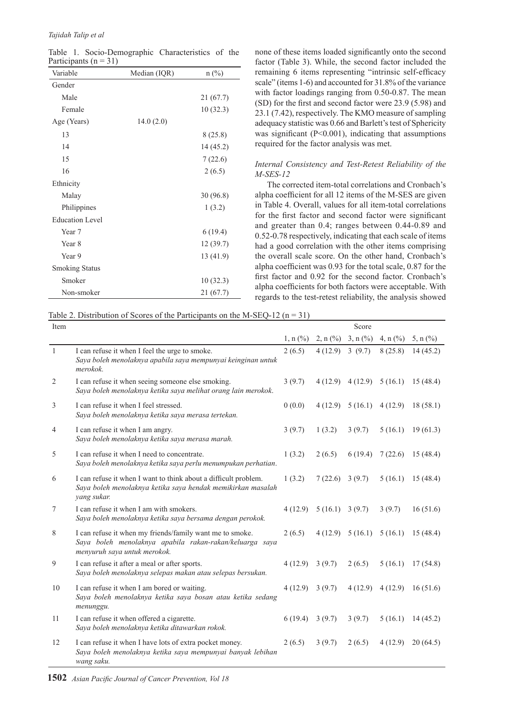#### *Tajidah Talip et al*

Table 1. Socio-Demographic Characteristics of the Participants ( $n = 31$ )

| Variable               | Median (IQR) | $n$ (%)   |
|------------------------|--------------|-----------|
| Gender                 |              |           |
| Male                   |              | 21 (67.7) |
| Female                 |              | 10(32.3)  |
| Age (Years)            | 14.0(2.0)    |           |
| 13                     |              | 8(25.8)   |
| 14                     |              | 14 (45.2) |
| 15                     |              | 7(22.6)   |
| 16                     |              | 2(6.5)    |
| Ethnicity              |              |           |
| Malay                  |              | 30(96.8)  |
| Philippines            |              | 1(3.2)    |
| <b>Education Level</b> |              |           |
| Year 7                 |              | 6(19.4)   |
| Year 8                 |              | 12 (39.7) |
| Year 9                 |              | 13 (41.9) |
| <b>Smoking Status</b>  |              |           |
| Smoker                 |              | 10(32.3)  |
| Non-smoker             |              | 21 (67.7) |

none of these items loaded significantly onto the second factor (Table 3). While, the second factor included the remaining 6 items representing "intrinsic self-efficacy scale" (items 1-6) and accounted for 31.8% of the variance with factor loadings ranging from 0.50-0.87. The mean (SD) for the first and second factor were 23.9 (5.98) and 23.1 (7.42), respectively. The KMO measure of sampling adequacy statistic was 0.66 and Barlett's test of Sphericity was significant  $(P<0.001)$ , indicating that assumptions required for the factor analysis was met.

## *Internal Consistency and Test-Retest Reliability of the M-SES-12*

The corrected item-total correlations and Cronbach's alpha coefficient for all 12 items of the M-SES are given in Table 4. Overall, values for all item-total correlations for the first factor and second factor were significant and greater than 0.4; ranges between 0.44-0.89 and 0.52-0.78 respectively, indicating that each scale of items had a good correlation with the other items comprising the overall scale score. On the other hand, Cronbach's alpha coefficient was 0.93 for the total scale, 0.87 for the first factor and 0.92 for the second factor. Cronbach's alpha coefficients for both factors were acceptable. With regards to the test-retest reliability, the analysis showed

Table 2. Distribution of Scores of the Participants on the M-SEQ-12 ( $n = 31$ )

| Item           |                                                                                                                                                     |            |                        | Score      |              |              |
|----------------|-----------------------------------------------------------------------------------------------------------------------------------------------------|------------|------------------------|------------|--------------|--------------|
|                |                                                                                                                                                     | $1, n$ (%) | $2, n$ (%)             | $3, n$ (%) | 4, n $(\% )$ | 5, n $(\% )$ |
| 1              | I can refuse it when I feel the urge to smoke.<br>Saya boleh menolaknya apabila saya mempunyai keinginan untuk<br>merokok.                          | 2(6.5)     | 4(12.9)                | 3(9.7)     | 8(25.8)      | 14(45.2)     |
| $\overline{2}$ | I can refuse it when seeing someone else smoking.<br>Saya boleh menolaknya ketika saya melihat orang lain merokok.                                  | 3(9.7)     | 4(12.9)                | 4(12.9)    | 5(16.1)      | 15(48.4)     |
| 3              | I can refuse it when I feel stressed.<br>Saya boleh menolaknya ketika saya merasa tertekan.                                                         | 0(0.0)     | 4(12.9)                | 5(16.1)    | 4(12.9)      | 18(58.1)     |
| 4              | I can refuse it when I am angry.<br>Saya boleh menolaknya ketika saya merasa marah.                                                                 | 3(9.7)     | 1(3.2)                 | 3(9.7)     | 5(16.1)      | 19(61.3)     |
| 5              | I can refuse it when I need to concentrate.<br>Saya boleh menolaknya ketika saya perlu menumpukan perhatian.                                        | 1(3.2)     | 2(6.5)                 | 6(19.4)    | 7(22.6)      | 15(48.4)     |
| 6              | I can refuse it when I want to think about a difficult problem.<br>Saya boleh menolaknya ketika saya hendak memikirkan masalah<br>yang sukar.       | 1(3.2)     | 7(22.6)                | 3(9.7)     | 5(16.1)      | 15(48.4)     |
| 7              | I can refuse it when I am with smokers.<br>Saya boleh menolaknya ketika saya bersama dengan perokok.                                                | 4(12.9)    | $5(16.1) \quad 3(9.7)$ |            | 3(9.7)       | 16(51.6)     |
| 8              | I can refuse it when my friends/family want me to smoke.<br>Saya boleh menolaknya apabila rakan-rakan/keluarga saya<br>menyuruh saya untuk merokok. | 2(6.5)     | 4(12.9)                | 5(16.1)    | 5(16.1)      | 15(48.4)     |
| 9              | I can refuse it after a meal or after sports.<br>Saya boleh menolaknya selepas makan atau selepas bersukan.                                         | 4(12.9)    | 3(9.7)                 | 2(6.5)     | 5(16.1)      | 17(54.8)     |
| 10             | I can refuse it when I am bored or waiting.<br>Saya boleh menolaknya ketika saya bosan atau ketika sedang<br>menunggu.                              | 4(12.9)    | 3(9.7)                 | 4(12.9)    | 4(12.9)      | 16(51.6)     |
| 11             | I can refuse it when offered a cigarette.<br>Saya boleh menolaknya ketika ditawarkan rokok.                                                         | 6(19.4)    | 3(9.7)                 | 3(9.7)     | 5(16.1)      | 14(45.2)     |
| 12             | I can refuse it when I have lots of extra pocket money.<br>Saya boleh menolaknya ketika saya mempunyai banyak lebihan<br>wang saku.                 | 2(6.5)     | 3(9.7)                 | 2(6.5)     | 4(12.9)      | 20(64.5)     |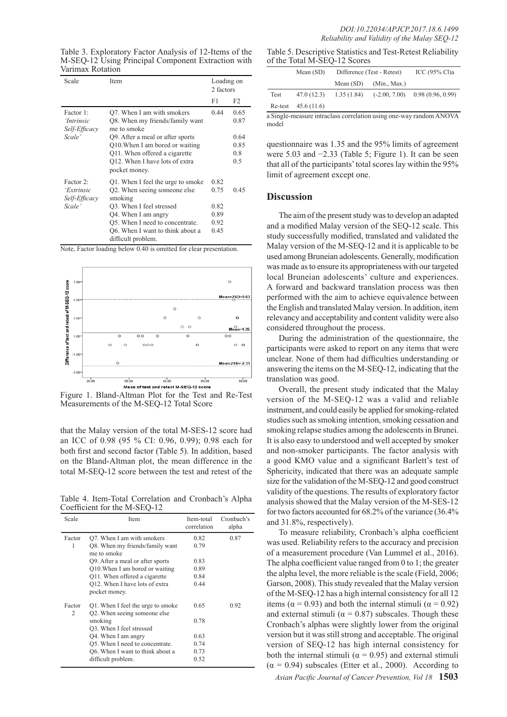Table 3. Exploratory Factor Analysis of 12-Items of the M-SEQ-12 Using Principal Component Extraction with Varimax Rotation

| Scale                                                     | Item                                                                                                                                                                                                                         | Loading on<br>2 factors                      |                      |
|-----------------------------------------------------------|------------------------------------------------------------------------------------------------------------------------------------------------------------------------------------------------------------------------------|----------------------------------------------|----------------------|
|                                                           |                                                                                                                                                                                                                              | F1                                           | F <sub>2</sub>       |
| Factor 1:<br><i>'Intrinsic</i><br>Self-Efficacy<br>Scale' | Q7. When I am with smokers<br>Q8. When my friends/family want<br>me to smoke<br>Q9. After a meal or after sports                                                                                                             | 0.44                                         | 0.65<br>0.87<br>0.64 |
|                                                           | Q10. When I am bored or waiting<br>Q11. When offered a cigarette<br>Q12. When I have lots of extra<br>pocket money.                                                                                                          |                                              | 0.85<br>0.8<br>0.5   |
| Factor 2:<br>'Extrinsic<br>Self-Efficacy<br>Scale'        | Q1. When I feel the urge to smoke<br>Q2. When seeing someone else<br>smoking<br>O3. When I feel stressed<br>Q4. When I am angry<br>Q5. When I need to concentrate.<br>Q6. When I want to think about a<br>difficult problem. | 0.82<br>0.75<br>0.82<br>0.89<br>0.92<br>0.45 | 0.45                 |

Note, Factor loading below 0.40 is omitted for clear presentation.



Figure 1. Bland-Altman Plot for the Test and Re-Test Measurements of the M-SEQ-12 Total Score

that the Malay version of the total M-SES-12 score had an ICC of 0.98 (95 % CI: 0.96, 0.99); 0.98 each for both first and second factor (Table 5). In addition, based on the Bland-Altman plot, the mean difference in the total M-SEQ-12 score between the test and retest of the

Table 4. Item-Total Correlation and Cronbach's Alpha Coefficient for the M-SEQ-12

| Scale       | Item                                                              | Item-total<br>correlation | Cronbach's<br>alpha |
|-------------|-------------------------------------------------------------------|---------------------------|---------------------|
| Factor      | Q7. When I am with smokers                                        | 0.82                      | 0.87                |
| 1           | Q8. When my friends/family want<br>me to smoke                    | 0.79                      |                     |
|             | Q9. After a meal or after sports                                  | 0.83                      |                     |
|             | Q10. When I am bored or waiting                                   | 0.89                      |                     |
|             | Q11. When offered a cigarette                                     | 0.84                      |                     |
|             | Q12. When I have lots of extra<br>pocket money.                   | 0.44                      |                     |
| Factor<br>2 | Q1. When I feel the urge to smoke<br>Q2. When seeing someone else | 0.65                      | 0.92                |
|             | smoking<br>Q3. When I feel stressed                               | 0.78                      |                     |
|             | Q4. When I am angry                                               | 0.63                      |                     |
|             | Q5. When I need to concentrate.                                   | 0.74                      |                     |
|             | Q6. When I want to think about a                                  | 0.73                      |                     |
|             | difficult problem.                                                | 0.52                      |                     |

Table 5. Descriptive Statistics and Test-Retest Reliability of the Total M-SEQ-12 Scores

|      | Mean $(SD)$          | Difference (Test - Retest) |                 | ICC $(95\%$ Cl)a |
|------|----------------------|----------------------------|-----------------|------------------|
|      |                      | Mean (SD)                  | (Min., Max.)    |                  |
| Test | 47.0(12.3)           | 1.35(1.84)                 | $(-2.00, 7.00)$ | 0.98(0.96, 0.99) |
|      | Re-test $45.6(11.6)$ |                            |                 |                  |

a Single-measure intraclass correlation using one-way random ANOVA model

questionnaire was 1.35 and the 95% limits of agreement were 5.03 and −2.33 (Table 5; Figure 1). It can be seen that all of the participants' total scores lay within the 95% limit of agreement except one.

#### **Discussion**

The aim of the present study was to develop an adapted and a modified Malay version of the SEQ-12 scale. This study successfully modified, translated and validated the Malay version of the M-SEQ-12 and it is applicable to be used among Bruneian adolescents. Generally, modification was made as to ensure its appropriateness with our targeted local Bruneian adolescents' culture and experiences. A forward and backward translation process was then performed with the aim to achieve equivalence between the English and translated Malay version. In addition, item relevancy and acceptability and content validity were also considered throughout the process.

During the administration of the questionnaire, the participants were asked to report on any items that were unclear. None of them had difficulties understanding or answering the items on the M-SEQ-12, indicating that the translation was good.

Overall, the present study indicated that the Malay version of the M-SEQ-12 was a valid and reliable instrument, and could easily be applied for smoking-related studies such as smoking intention, smoking cessation and smoking relapse studies among the adolescents in Brunei. It is also easy to understood and well accepted by smoker and non-smoker participants. The factor analysis with a good KMO value and a significant Barlett's test of Sphericity, indicated that there was an adequate sample size for the validation of the M-SEQ-12 and good construct validity of the questions. The results of exploratory factor analysis showed that the Malay version of the M-SES-12 for two factors accounted for 68.2% of the variance (36.4% and 31.8%, respectively).

To measure reliability, Cronbach's alpha coefficient was used. Reliability refers to the accuracy and precision of a measurement procedure (Van Lummel et al., 2016). The alpha coefficient value ranged from 0 to 1; the greater the alpha level, the more reliable is the scale (Field, 2006; Garson, 2008). This study revealed that the Malay version of the M-SEQ-12 has a high internal consistency for all 12 items ( $\alpha$  = 0.93) and both the internal stimuli ( $\alpha$  = 0.92) and external stimuli ( $\alpha = 0.87$ ) subscales. Though these Cronbach's alphas were slightly lower from the original version but it was still strong and acceptable. The original version of SEQ-12 has high internal consistency for both the internal stimuli ( $\alpha$  = 0.95) and external stimuli  $(\alpha = 0.94)$  subscales (Etter et al., 2000). According to

*Asian Pacific Journal of Cancer Prevention, Vol 18* **1503**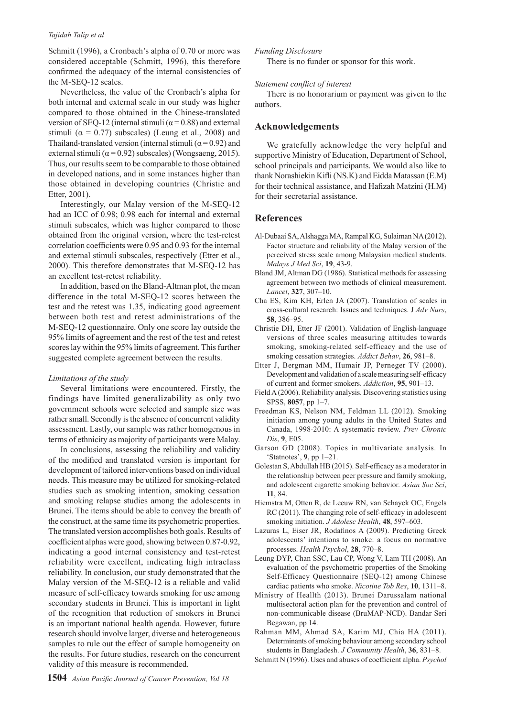#### *Tajidah Talip et al*

Schmitt (1996), a Cronbach's alpha of 0.70 or more was considered acceptable (Schmitt, 1996), this therefore confirmed the adequacy of the internal consistencies of the M-SEQ-12 scales.

Nevertheless, the value of the Cronbach's alpha for both internal and external scale in our study was higher compared to those obtained in the Chinese-translated version of SEQ-12 (internal stimuli ( $\alpha$  = 0.88) and external stimuli ( $\alpha = 0.77$ ) subscales) (Leung et al., 2008) and Thailand-translated version (internal stimuli ( $\alpha$  = 0.92) and external stimuli ( $\alpha$  = 0.92) subscales) (Wongsaeng, 2015). Thus, our results seem to be comparable to those obtained in developed nations, and in some instances higher than those obtained in developing countries (Christie and Etter, 2001).

Interestingly, our Malay version of the M-SEQ-12 had an ICC of 0.98; 0.98 each for internal and external stimuli subscales, which was higher compared to those obtained from the original version, where the test-retest correlation coefficients were 0.95 and 0.93 for the internal and external stimuli subscales, respectively (Etter et al., 2000). This therefore demonstrates that M-SEQ-12 has an excellent test-retest reliability.

In addition, based on the Bland-Altman plot, the mean difference in the total M-SEQ-12 scores between the test and the retest was 1.35, indicating good agreement between both test and retest administrations of the M-SEQ-12 questionnaire. Only one score lay outside the 95% limits of agreement and the rest of the test and retest scores lay within the 95% limits of agreement. This further suggested complete agreement between the results.

#### *Limitations of the study*

Several limitations were encountered. Firstly, the findings have limited generalizability as only two government schools were selected and sample size was rather small. Secondly is the absence of concurrent validity assessment. Lastly, our sample was rather homogenous in terms of ethnicity as majority of participants were Malay.

In conclusions, assessing the reliability and validity of the modified and translated version is important for development of tailored interventions based on individual needs. This measure may be utilized for smoking-related studies such as smoking intention, smoking cessation and smoking relapse studies among the adolescents in Brunei. The items should be able to convey the breath of the construct, at the same time its psychometric properties. The translated version accomplishes both goals. Results of coefficient alphas were good, showing between 0.87-0.92, indicating a good internal consistency and test-retest reliability were excellent, indicating high intraclass reliability. In conclusion, our study demonstrated that the Malay version of the M-SEQ-12 is a reliable and valid measure of self-efficacy towards smoking for use among secondary students in Brunei. This is important in light of the recognition that reduction of smokers in Brunei is an important national health agenda. However, future research should involve larger, diverse and heterogeneous samples to rule out the effect of sample homogeneity on the results. For future studies, research on the concurrent validity of this measure is recommended.

There is no funder or sponsor for this work.

#### *Statement conflict of interest*

There is no honorarium or payment was given to the authors.

## **Acknowledgements**

We gratefully acknowledge the very helpful and supportive Ministry of Education, Department of School, school principals and participants. We would also like to thank Norashiekin Kifli (NS.K) and Eidda Matassan (E.M) for their technical assistance, and Hafizah Matzini (H.M) for their secretarial assistance.

## **References**

- Al-Dubaai SA, Alshagga MA, Rampal KG, Sulaiman NA (2012). Factor structure and reliability of the Malay version of the perceived stress scale among Malaysian medical students. *Malays J Med Sci*, **19**, 43-9.
- Bland JM, Altman DG (1986). Statistical methods for assessing agreement between two methods of clinical measurement. *Lancet*, **327**, 307–10.
- Cha ES, Kim KH, Erlen JA (2007). Translation of scales in cross-cultural research: Issues and techniques. J *Adv Nurs*, **58**, 386–95.
- Christie DH, Etter JF (2001). Validation of English-language versions of three scales measuring attitudes towards smoking, smoking-related self-efficacy and the use of smoking cessation strategies. *Addict Behav*, **26**, 981–8.
- Etter J, Bergman MM, Humair JP, Perneger TV (2000). Development and validation of a scale measuring self-efficacy of current and former smokers. *Addiction*, **95**, 901–13.
- Field A (2006). Reliability analysis. Discovering statistics using SPSS, **8057**, pp 1–7.
- Freedman KS, Nelson NM, Feldman LL (2012). Smoking initiation among young adults in the United States and Canada, 1998-2010: A systematic review. *Prev Chronic Dis*, **9**, E05.
- Garson GD (2008). Topics in multivariate analysis. In 'Statnotes', **9**, pp 1–21.
- Golestan S, Abdullah HB (2015). Self-efficacy as a moderator in the relationship between peer pressure and family smoking, and adolescent cigarette smoking behavior. *Asian Soc Sci*, **11**, 84.
- Hiemstra M, Otten R, de Leeuw RN, van Schayck OC, Engels RC (2011). The changing role of self-efficacy in adolescent smoking initiation. *J Adolesc Health*, **48**, 597–603.
- Lazuras L, Eiser JR, Rodafinos A (2009). Predicting Greek adolescents' intentions to smoke: a focus on normative processes. *Health Psychol*, **28**, 770–8.
- Leung DYP, Chan SSC, Lau CP, Wong V, Lam TH (2008). An evaluation of the psychometric properties of the Smoking Self-Efficacy Questionnaire (SEQ-12) among Chinese cardiac patients who smoke. *Nicotine Tob Res*, **10**, 1311–8.
- Ministry of Heallth (2013). Brunei Darussalam national multisectoral action plan for the prevention and control of non-communicable disease (BruMAP-NCD). Bandar Seri Begawan, pp 14.
- Rahman MM, Ahmad SA, Karim MJ, Chia HA (2011). Determinants of smoking behaviour among secondary school students in Bangladesh. *J Community Health*, **36**, 831–8.
- Schmitt N (1996). Uses and abuses of coefficient alpha. *Psychol*